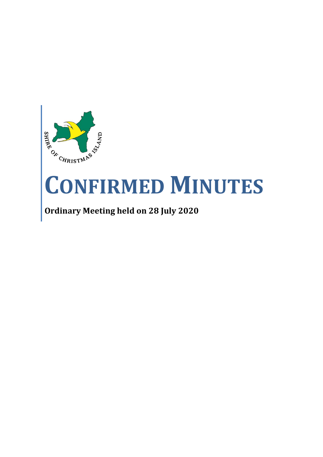

# **CONFIRMED MINUTES**

**Ordinary Meeting held on 28 July 2020**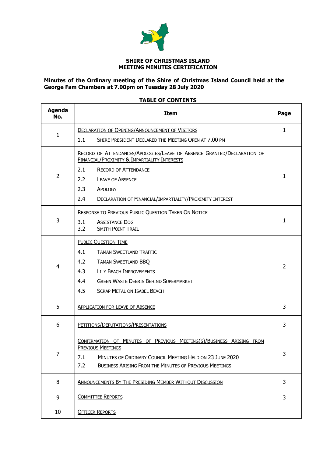

#### **SHIRE OF CHRISTMAS ISLAND MEETING MINUTES CERTIFICATION**

#### **Minutes of the Ordinary meeting of the Shire of Christmas Island Council held at the George Fam Chambers at 7.00pm on Tuesday 28 July 2020**

# **TABLE OF CONTENTS**

| <b>Agenda</b><br>No. | <b>Item</b>                                                                                                                                                                                                                                 | Page |
|----------------------|---------------------------------------------------------------------------------------------------------------------------------------------------------------------------------------------------------------------------------------------|------|
|                      | <b>DECLARATION OF OPENING/ANNOUNCEMENT OF VISITORS</b>                                                                                                                                                                                      | 1    |
| 1                    | SHIRE PRESIDENT DECLARED THE MEETING OPEN AT 7.00 PM<br>1.1                                                                                                                                                                                 |      |
|                      | RECORD OF ATTENDANCES/APOLOGIES/LEAVE OF ABSENCE GRANTED/DECLARATION OF<br>FINANCIAL/PROXIMITY & IMPARTIALITY INTERESTS                                                                                                                     |      |
| $\overline{2}$       | <b>RECORD OF ATTENDANCE</b><br>2.1                                                                                                                                                                                                          | 1    |
|                      | 2.2<br><b>LEAVE OF ABSENCE</b>                                                                                                                                                                                                              |      |
|                      | 2.3<br>APOLOGY                                                                                                                                                                                                                              |      |
|                      | 2.4<br>DECLARATION OF FINANCIAL/IMPARTIALITY/PROXIMITY INTEREST                                                                                                                                                                             |      |
|                      | <b>RESPONSE TO PREVIOUS PUBLIC QUESTION TAKEN ON NOTICE</b>                                                                                                                                                                                 |      |
| 3                    | 3.1<br><b>ASSISTANCE DOG</b>                                                                                                                                                                                                                | 1    |
|                      | 3.2<br><b>SMITH POINT TRAIL</b>                                                                                                                                                                                                             |      |
|                      | <b>PUBLIC QUESTION TIME</b>                                                                                                                                                                                                                 |      |
|                      | 4.1<br><b>TAMAN SWEETLAND TRAFFIC</b>                                                                                                                                                                                                       |      |
|                      | 4.2<br><b>TAMAN SWEETLAND BBQ</b>                                                                                                                                                                                                           |      |
| 4                    | 4.3<br>LILY BEACH IMPROVEMENTS                                                                                                                                                                                                              | 2    |
|                      | 4.4<br><b>GREEN WASTE DEBRIS BEHIND SUPERMARKET</b>                                                                                                                                                                                         |      |
|                      | 4.5<br><b>SCRAP METAL ON ISABEL BEACH</b>                                                                                                                                                                                                   |      |
| 5                    | <b>APPLICATION FOR LEAVE OF ABSENCE</b>                                                                                                                                                                                                     | 3    |
| 6                    | PETITIONS/DEPUTATIONS/PRESENTATIONS                                                                                                                                                                                                         | 3    |
| 7                    | CONFIRMATION OF MINUTES OF PREVIOUS MEETING(S)/BUSINESS ARISING FROM<br><b>PREVIOUS MEETINGS</b><br>MINUTES OF ORDINARY COUNCIL MEETING HELD ON 23 JUNE 2020<br>7.1<br>7.2<br><b>BUSINESS ARISING FROM THE MINUTES OF PREVIOUS MEETINGS</b> | 3    |
| 8                    | ANNOUNCEMENTS BY THE PRESIDING MEMBER WITHOUT DISCUSSION                                                                                                                                                                                    | 3    |
| 9                    | <b>COMMITTEE REPORTS</b>                                                                                                                                                                                                                    | 3    |
| 10                   | <b>OFFICER REPORTS</b>                                                                                                                                                                                                                      |      |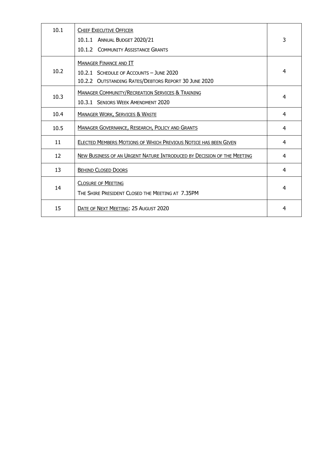| 10.1 | <b>CHIEF EXECUTIVE OFFICER</b><br>10.1.1 ANNUAL BUDGET 2020/21<br>10.1.2 COMMUNITY ASSISTANCE GRANTS                             | 3 |
|------|----------------------------------------------------------------------------------------------------------------------------------|---|
| 10.2 | <b>MANAGER FINANCE AND IT</b><br>10.2.1 SCHEDULE OF ACCOUNTS - JUNE 2020<br>10.2.2 OUTSTANDING RATES/DEBTORS REPORT 30 JUNE 2020 | 4 |
| 10.3 | <b>MANAGER COMMUNITY/RECREATION SERVICES &amp; TRAINING</b><br>10.3.1 SENIORS WEEK AMENDMENT 2020                                | 4 |
| 10.4 | <b>MANAGER WORK, SERVICES &amp; WASTE</b>                                                                                        | 4 |
| 10.5 | MANAGER GOVERNANCE, RESEARCH, POLICY AND GRANTS                                                                                  | 4 |
| 11   | ELECTED MEMBERS MOTIONS OF WHICH PREVIOUS NOTICE HAS BEEN GIVEN                                                                  | 4 |
| 12   | NEW BUSINESS OF AN URGENT NATURE INTRODUCED BY DECISION OF THE MEETING                                                           | 4 |
| 13   | <b>BEHIND CLOSED DOORS</b>                                                                                                       | 4 |
| 14   | <b>CLOSURE OF MEETING</b><br>THE SHIRE PRESIDENT CLOSED THE MEETING AT 7.35PM                                                    | 4 |
| 15   | DATE OF NEXT MEETING: 25 AUGUST 2020                                                                                             | 4 |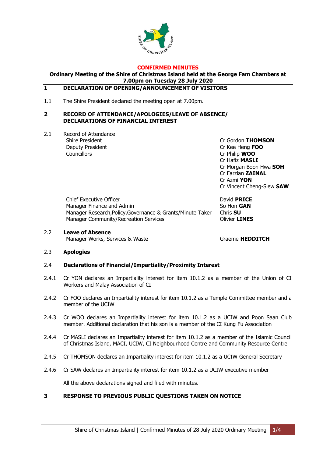

#### **CONFIRMED MINUTES**

**Ordinary Meeting of the Shire of Christmas Island held at the George Fam Chambers at 7.00pm on Tuesday 28 July 2020**

# <span id="page-3-0"></span>**1 DECLARATION OF OPENING/ANNOUNCEMENT OF VISITORS**

1.1 The Shire President declared the meeting open at 7.00pm.

#### <span id="page-3-1"></span>**2 RECORD OF ATTENDANCE/APOLOGIES/LEAVE OF ABSENCE/ DECLARATIONS OF FINANCIAL INTEREST**

2.1 Record of Attendance Deputy President Cr Kee Heng **FOO** Councillors Cr Philip **WOO**

Shire President **Canadian Critical Critical Critical Critical Critical Critical Critical Critical Critical Critical Orientation Critical Critical Critical Critical Critical Critical Orientation Critical Critical Critical C** Cr Hafiz **MASLI** Cr Morgan Boon Hwa **SOH** Cr Farzian **ZAINAL** Cr Azmi **YON** Cr Vincent Cheng-Siew **SAW**

Chief Executive Officer **David PRICE** Manager Finance and Admin So Hon **GAN** Manager Research,Policy,Governance & Grants/Minute Taker Chris **SU** Manager Community/Recreation Services **Community/Recreation Services** 

2.2 **Leave of Absence** Manager Works, Services & Waste Graeme **HEDDITCH** 

#### 2.3 **Apologies**

#### 2.4 **Declarations of Financial/Impartiality/Proximity Interest**

- 2.4.1 Cr YON declares an Impartiality interest for item 10.1.2 as a member of the Union of CI Workers and Malay Association of CI
- 2.4.2 Cr FOO declares an Impartiality interest for item 10.1.2 as a Temple Committee member and a member of the UCIW
- 2.4.3 Cr WOO declares an Impartiality interest for item 10.1.2 as a UCIW and Poon Saan Club member. Additional declaration that his son is a member of the CI Kung Fu Association
- 2.4.4 Cr MASLI declares an Impartiality interest for item 10.1.2 as a member of the Islamic Council of Christmas Island, MACI, UCIW, CI Neighbourhood Centre and Community Resource Centre
- 2.4.5 Cr THOMSON declares an Impartiality interest for item 10.1.2 as a UCIW General Secretary
- 2.4.6 Cr SAW declares an Impartiality interest for item 10.1.2 as a UCIW executive member

All the above declarations signed and filed with minutes.

# <span id="page-3-2"></span>**3 RESPONSE TO PREVIOUS PUBLIC QUESTIONS TAKEN ON NOTICE**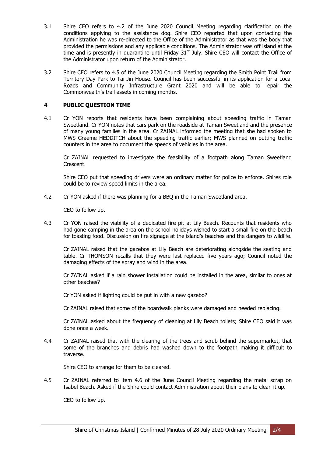- 3.1 Shire CEO refers to 4.2 of the June 2020 Council Meeting regarding clarification on the conditions applying to the assistance dog. Shire CEO reported that upon contacting the Administration he was re-directed to the Office of the Administrator as that was the body that provided the permissions and any applicable conditions. The Administrator was off island at the time and is presently in quarantine until Friday  $31<sup>st</sup>$  July. Shire CEO will contact the Office of the Administrator upon return of the Administrator.
- 3.2 Shire CEO refers to 4.5 of the June 2020 Council Meeting regarding the Smith Point Trail from Territory Day Park to Tai Jin House. Council has been successful in its application for a Local Roads and Community Infrastructure Grant 2020 and will be able to repair the Commonwealth's trail assets in coming months.

# <span id="page-4-0"></span>**4 PUBLIC QUESTION TIME**

4.1 Cr YON reports that residents have been complaining about speeding traffic in Taman Sweetland. Cr YON notes that cars park on the roadside at Taman Sweetland and the presence of many young families in the area. Cr ZAINAL informed the meeting that she had spoken to MWS Graeme HEDDITCH about the speeding traffic earlier; MWS planned on putting traffic counters in the area to document the speeds of vehicles in the area.

Cr ZAINAL requested to investigate the feasibility of a footpath along Taman Sweetland Crescent.

Shire CEO put that speeding drivers were an ordinary matter for police to enforce. Shires role could be to review speed limits in the area.

4.2 Cr YON asked if there was planning for a BBQ in the Taman Sweetland area.

CEO to follow up.

4.3 Cr YON raised the viability of a dedicated fire pit at Lily Beach. Recounts that residents who had gone camping in the area on the school holidays wished to start a small fire on the beach for toasting food. Discussion on fire signage at the island's beaches and the dangers to wildlife.

Cr ZAINAL raised that the gazebos at Lily Beach are deteriorating alongside the seating and table. Cr THOMSON recalls that they were last replaced five years ago; Council noted the damaging effects of the spray and wind in the area.

Cr ZAINAL asked if a rain shower installation could be installed in the area, similar to ones at other beaches?

Cr YON asked if lighting could be put in with a new gazebo?

Cr ZAINAL raised that some of the boardwalk planks were damaged and needed replacing.

Cr ZAINAL asked about the frequency of cleaning at Lily Beach toilets; Shire CEO said it was done once a week.

4.4 Cr ZAINAL raised that with the clearing of the trees and scrub behind the supermarket, that some of the branches and debris had washed down to the footpath making it difficult to traverse.

Shire CEO to arrange for them to be cleared.

4.5 Cr ZAINAL referred to item 4.6 of the June Council Meeting regarding the metal scrap on Isabel Beach. Asked if the Shire could contact Administration about their plans to clean it up.

CEO to follow up.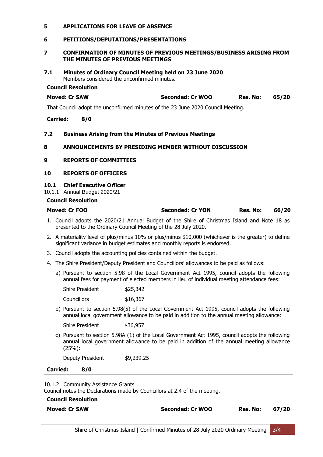# <span id="page-5-0"></span>**5 APPLICATIONS FOR LEAVE OF ABSENCE**

#### <span id="page-5-1"></span>**6 PETITIONS/DEPUTATIONS/PRESENTATIONS**

#### <span id="page-5-2"></span>**7 CONFIRMATION OF MINUTES OF PREVIOUS MEETINGS/BUSINESS ARISING FROM THE MINUTES OF PREVIOUS MEETINGS**

#### **7.1 Minutes of Ordinary Council Meeting held on 23 June 2020** Members considered the unconfirmed minutes.

| <b>Council Resolution</b> |                                                                                 |                         |          |       |
|---------------------------|---------------------------------------------------------------------------------|-------------------------|----------|-------|
| <b>Moved: Cr SAW</b>      |                                                                                 | <b>Seconded: Cr WOO</b> | Res. No: | 65/20 |
|                           | That Council adopt the unconfirmed minutes of the 23 June 2020 Council Meeting. |                         |          |       |
| <b>Carried:</b>           | 8/0                                                                             |                         |          |       |
|                           |                                                                                 |                         |          |       |

# **7.2 Business Arising from the Minutes of Previous Meetings**

#### <span id="page-5-3"></span>**8 ANNOUNCEMENTS BY PRESIDING MEMBER WITHOUT DISCUSSION**

# <span id="page-5-4"></span>**9 REPORTS OF COMMITTEES**

# **10 REPORTS OF OFFICERS**

#### <span id="page-5-5"></span>**10.1 Chief Executive Officer**

10.1.1 Annual Budget 2020/21

**Council Resolution**

# **Moved: Cr FOO Seconded: Cr YON Res. No: 66/20** 1. Council adopts the 2020/21 Annual Budget of the Shire of Christmas Island and Note 18 as presented to the Ordinary Council Meeting of the 28 July 2020. 2. A materiality level of plus/minus 10% or plus/minus \$10,000 (whichever is the greater) to define significant variance in budget estimates and monthly reports is endorsed. 3. Council adopts the accounting policies contained within the budget. 4. The Shire President/Deputy President and Councillors' allowances to be paid as follows: a) Pursuant to section 5.98 of the Local Government Act 1995, council adopts the following annual fees for payment of elected members in lieu of individual meeting attendance fees: Shire President \$25,342 Councillors \$16,367 b) Pursuant to section 5.98(5) of the Local Government Act 1995, council adopts the following annual local government allowance to be paid in addition to the annual meeting allowance: Shire President \$36,957 c) Pursuant to section 5.98A (1) of the Local Government Act 1995, council adopts the following annual local government allowance to be paid in addition of the annual meeting allowance (25%): Deputy President \$9,239.25 **Carried: 8/0**

10.1.2 Community Assistance Grants

| Council notes the Declarations made by Councillors at 2.4 of the meeting. |                  |          |       |  |  |
|---------------------------------------------------------------------------|------------------|----------|-------|--|--|
| Council Resolution                                                        |                  |          |       |  |  |
| Moved: Cr SAW                                                             | Seconded: Cr WOO | Res. No: | 67/20 |  |  |